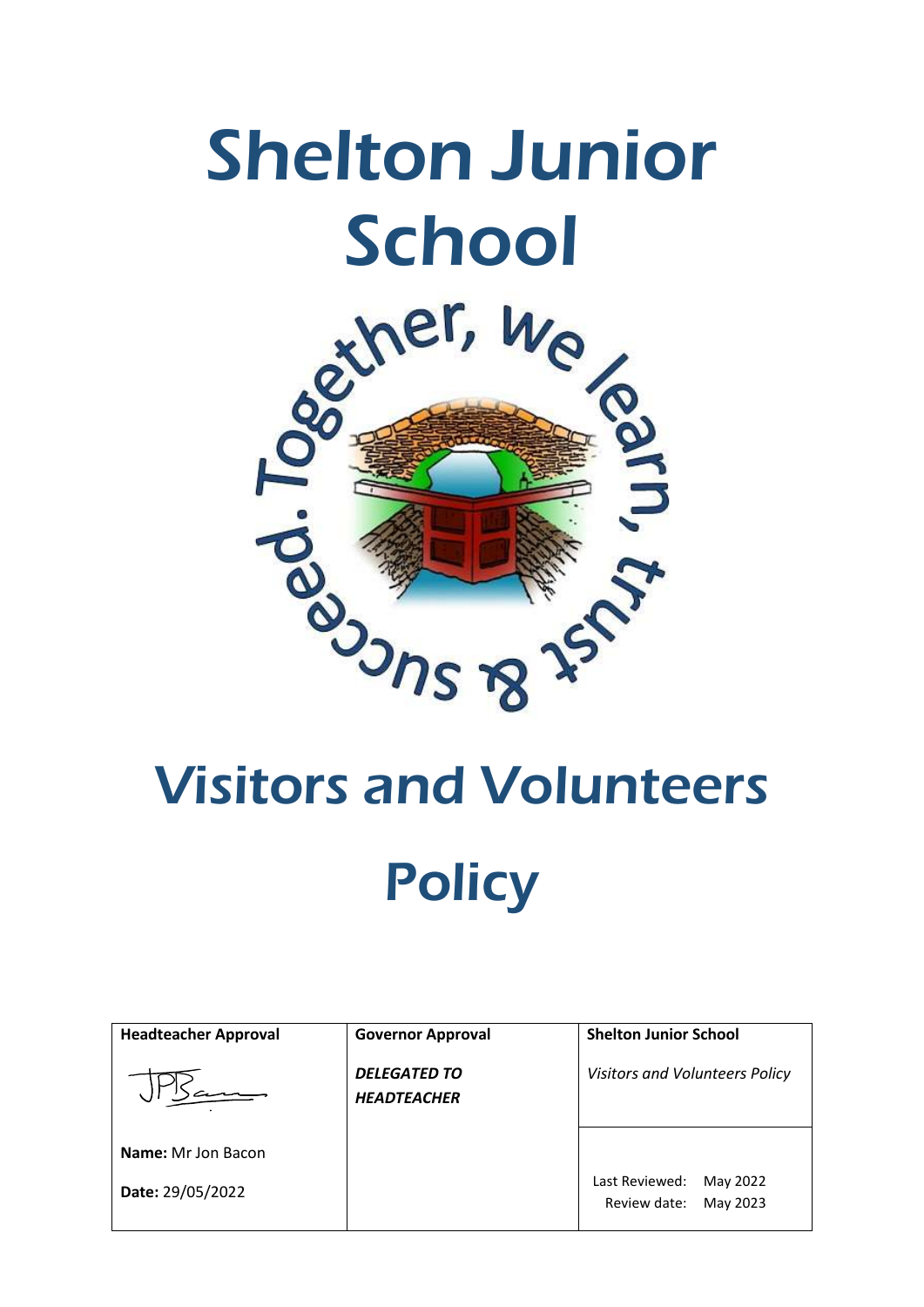# Shelton Junior



# Visitors and Volunteers **Policy**

| <b>Headteacher Approval</b> | <b>Governor Approval</b>                  | <b>Shelton Junior School</b>                           |
|-----------------------------|-------------------------------------------|--------------------------------------------------------|
|                             | <b>DELEGATED TO</b><br><b>HEADTEACHER</b> | Visitors and Volunteers Policy                         |
| <b>Name:</b> Mr Jon Bacon   |                                           |                                                        |
| Date: 29/05/2022            |                                           | Last Reviewed:<br>May 2022<br>Review date:<br>May 2023 |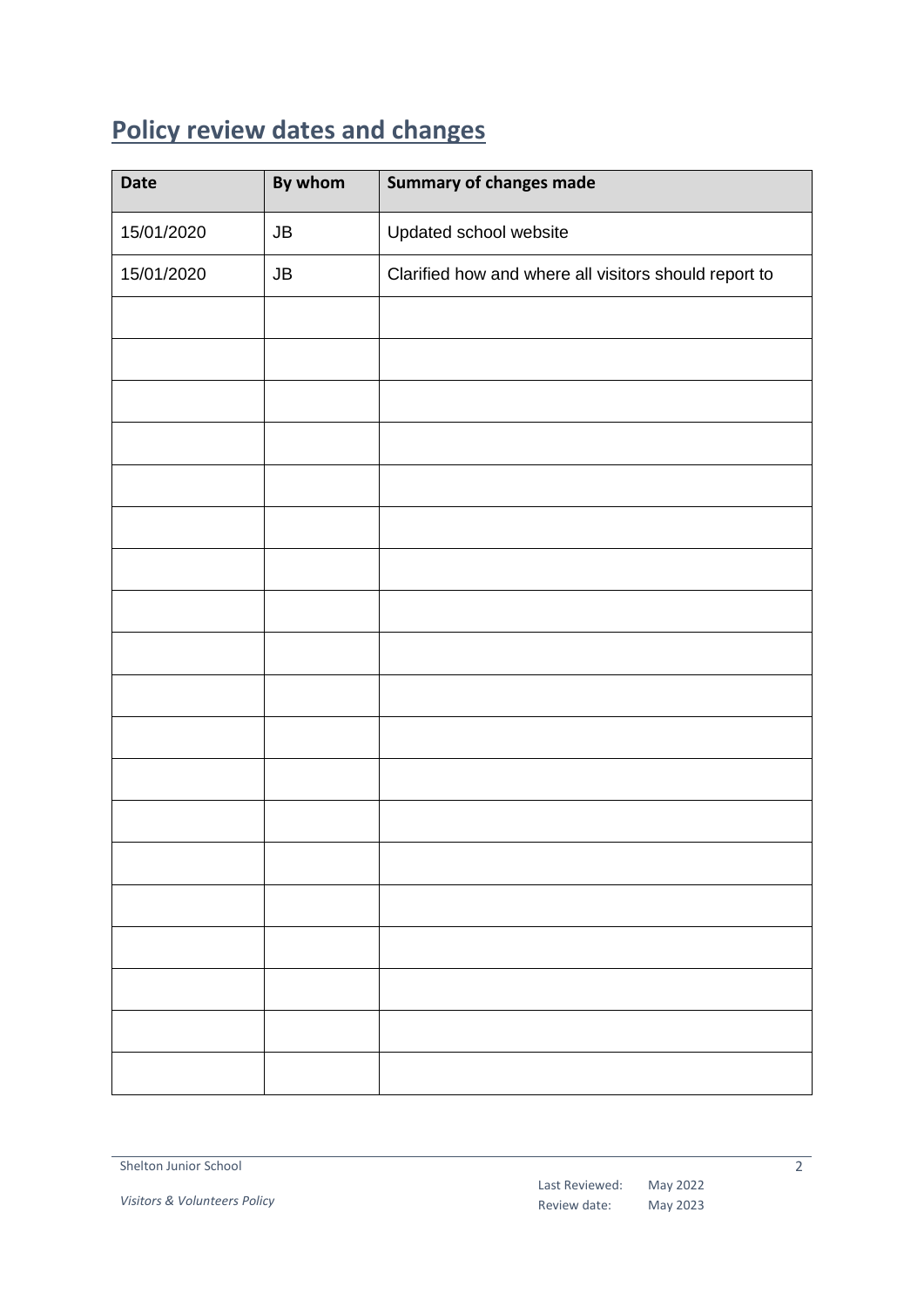# <span id="page-1-0"></span>**Policy review dates and changes**

| Date       | By whom    | <b>Summary of changes made</b>                        |
|------------|------------|-------------------------------------------------------|
| 15/01/2020 | ${\sf JB}$ | Updated school website                                |
| 15/01/2020 | ${\sf JB}$ | Clarified how and where all visitors should report to |
|            |            |                                                       |
|            |            |                                                       |
|            |            |                                                       |
|            |            |                                                       |
|            |            |                                                       |
|            |            |                                                       |
|            |            |                                                       |
|            |            |                                                       |
|            |            |                                                       |
|            |            |                                                       |
|            |            |                                                       |
|            |            |                                                       |
|            |            |                                                       |
|            |            |                                                       |
|            |            |                                                       |
|            |            |                                                       |
|            |            |                                                       |
|            |            |                                                       |
|            |            |                                                       |

 $\overline{2}$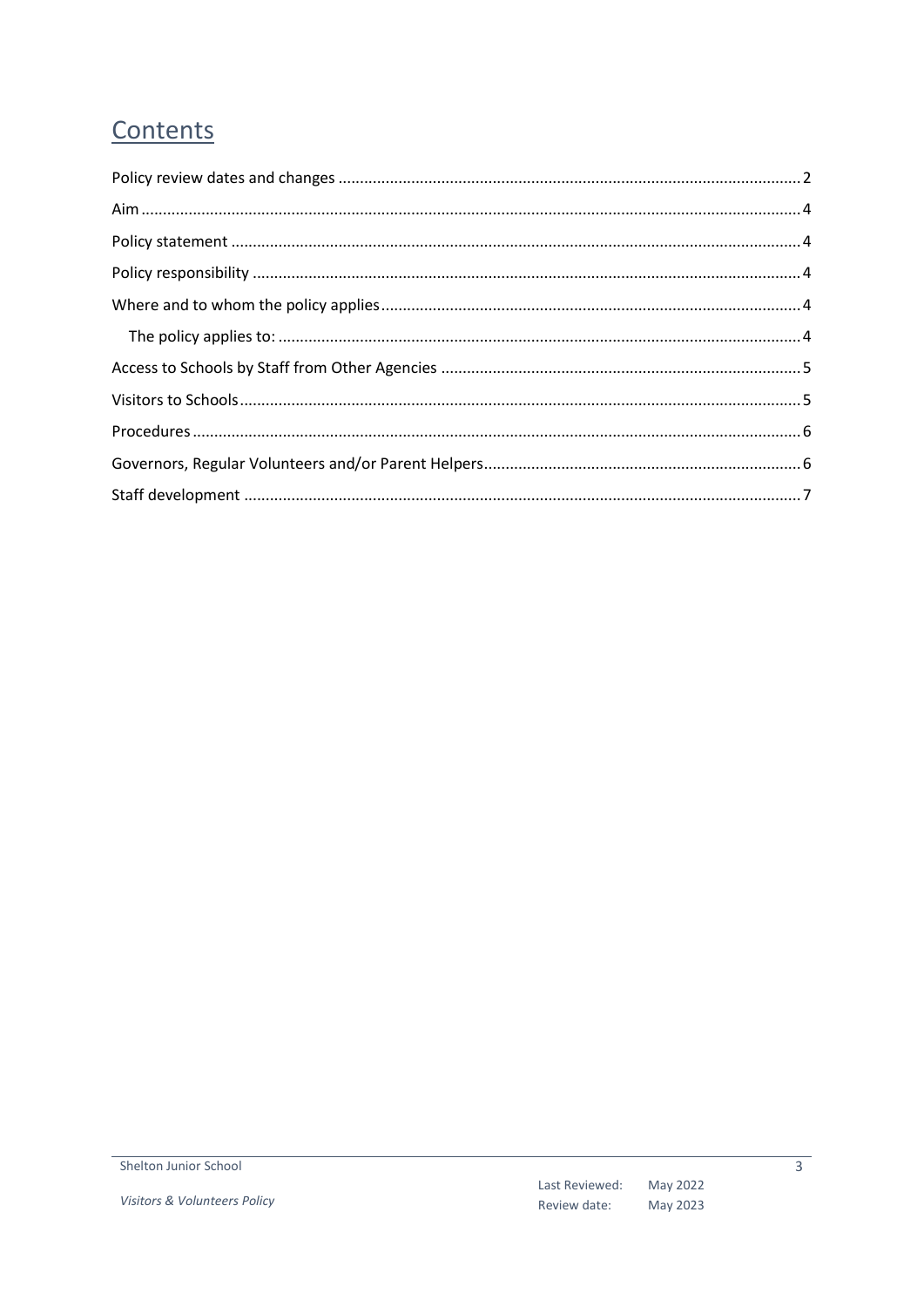# Contents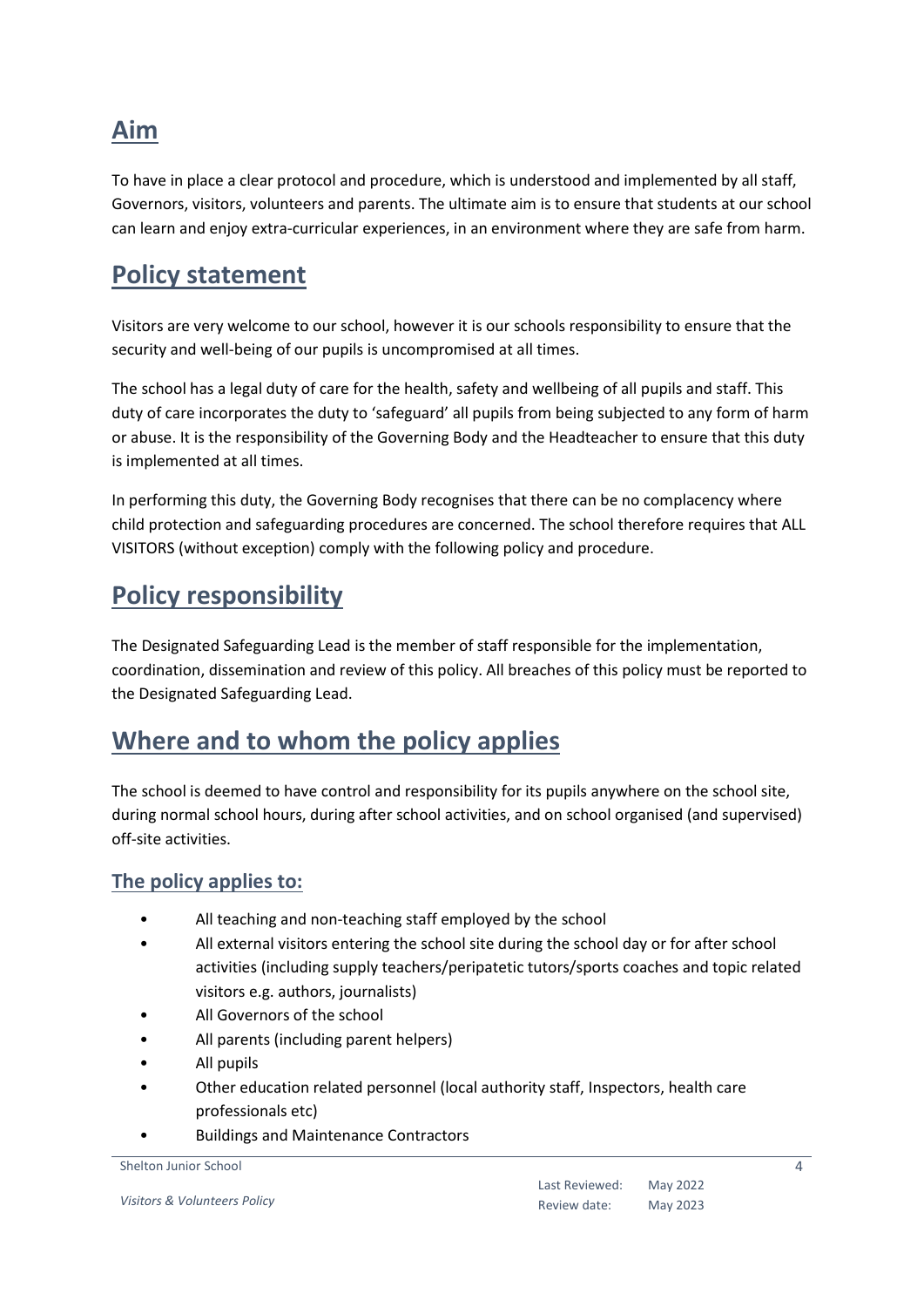# <span id="page-3-0"></span>**Aim**

To have in place a clear protocol and procedure, which is understood and implemented by all staff, Governors, visitors, volunteers and parents. The ultimate aim is to ensure that students at our school can learn and enjoy extra-curricular experiences, in an environment where they are safe from harm.

## <span id="page-3-1"></span>**Policy statement**

Visitors are very welcome to our school, however it is our schools responsibility to ensure that the security and well-being of our pupils is uncompromised at all times.

The school has a legal duty of care for the health, safety and wellbeing of all pupils and staff. This duty of care incorporates the duty to 'safeguard' all pupils from being subjected to any form of harm or abuse. It is the responsibility of the Governing Body and the Headteacher to ensure that this duty is implemented at all times.

In performing this duty, the Governing Body recognises that there can be no complacency where child protection and safeguarding procedures are concerned. The school therefore requires that ALL VISITORS (without exception) comply with the following policy and procedure.

# <span id="page-3-2"></span>**Policy responsibility**

The Designated Safeguarding Lead is the member of staff responsible for the implementation, coordination, dissemination and review of this policy. All breaches of this policy must be reported to the Designated Safeguarding Lead.

# <span id="page-3-3"></span>**Where and to whom the policy applies**

The school is deemed to have control and responsibility for its pupils anywhere on the school site, during normal school hours, during after school activities, and on school organised (and supervised) off-site activities.

#### <span id="page-3-4"></span>**The policy applies to:**

- All teaching and non-teaching staff employed by the school
- All external visitors entering the school site during the school day or for after school activities (including supply teachers/peripatetic tutors/sports coaches and topic related visitors e.g. authors, journalists)
- All Governors of the school
- All parents (including parent helpers)
- All pupils
- Other education related personnel (local authority staff, Inspectors, health care professionals etc)
- Buildings and Maintenance Contractors

#### Shelton Junior School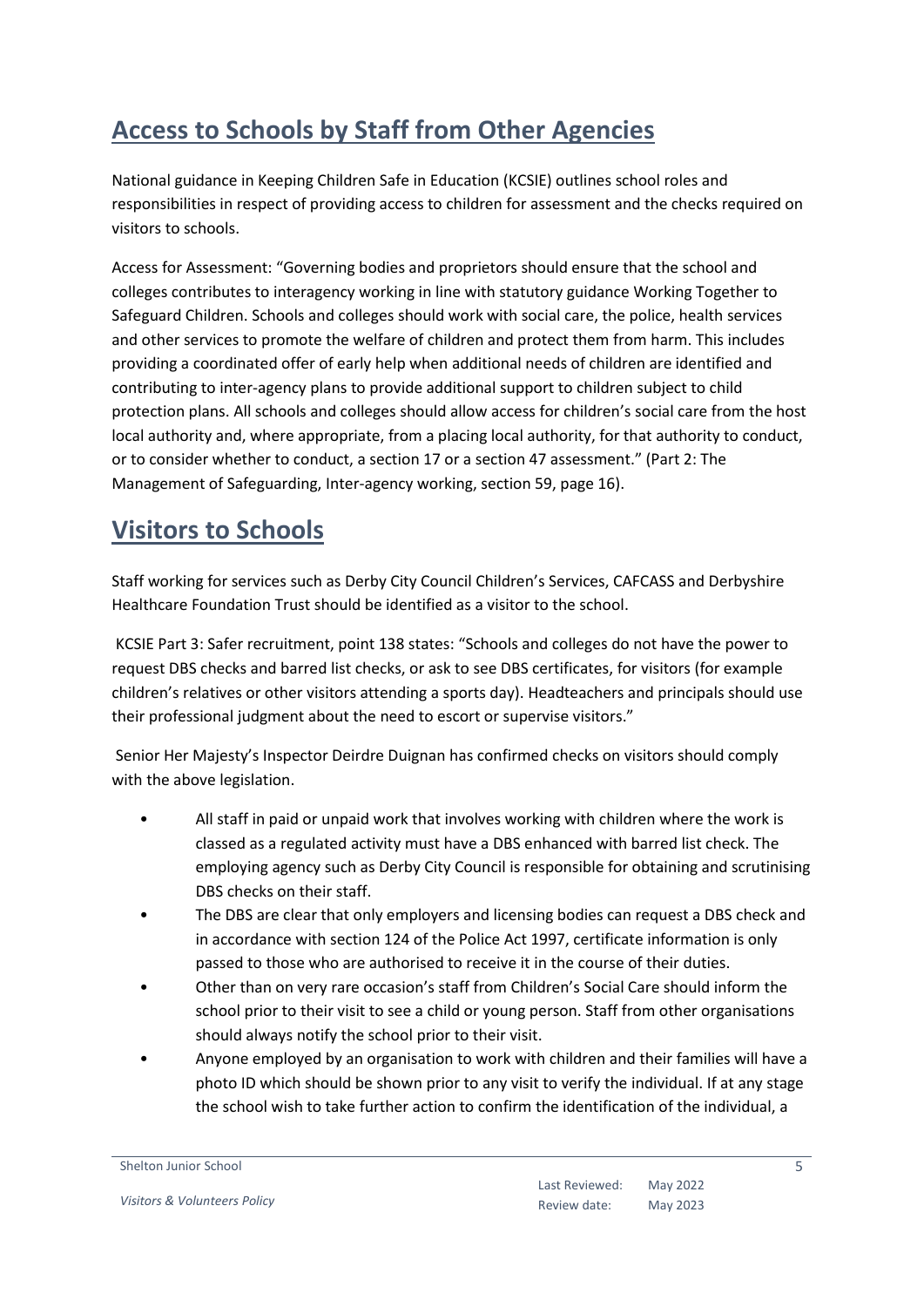# <span id="page-4-0"></span>**Access to Schools by Staff from Other Agencies**

National guidance in Keeping Children Safe in Education (KCSIE) outlines school roles and responsibilities in respect of providing access to children for assessment and the checks required on visitors to schools.

Access for Assessment: "Governing bodies and proprietors should ensure that the school and colleges contributes to interagency working in line with statutory guidance Working Together to Safeguard Children. Schools and colleges should work with social care, the police, health services and other services to promote the welfare of children and protect them from harm. This includes providing a coordinated offer of early help when additional needs of children are identified and contributing to inter-agency plans to provide additional support to children subject to child protection plans. All schools and colleges should allow access for children's social care from the host local authority and, where appropriate, from a placing local authority, for that authority to conduct, or to consider whether to conduct, a section 17 or a section 47 assessment." (Part 2: The Management of Safeguarding, Inter-agency working, section 59, page 16).

# <span id="page-4-1"></span>**Visitors to Schools**

Staff working for services such as Derby City Council Children's Services, CAFCASS and Derbyshire Healthcare Foundation Trust should be identified as a visitor to the school.

KCSIE Part 3: Safer recruitment, point 138 states: "Schools and colleges do not have the power to request DBS checks and barred list checks, or ask to see DBS certificates, for visitors (for example children's relatives or other visitors attending a sports day). Headteachers and principals should use their professional judgment about the need to escort or supervise visitors."

Senior Her Majesty's Inspector Deirdre Duignan has confirmed checks on visitors should comply with the above legislation.

- All staff in paid or unpaid work that involves working with children where the work is classed as a regulated activity must have a DBS enhanced with barred list check. The employing agency such as Derby City Council is responsible for obtaining and scrutinising DBS checks on their staff.
- The DBS are clear that only employers and licensing bodies can request a DBS check and in accordance with section 124 of the Police Act 1997, certificate information is only passed to those who are authorised to receive it in the course of their duties.
- Other than on very rare occasion's staff from Children's Social Care should inform the school prior to their visit to see a child or young person. Staff from other organisations should always notify the school prior to their visit.
- Anyone employed by an organisation to work with children and their families will have a photo ID which should be shown prior to any visit to verify the individual. If at any stage the school wish to take further action to confirm the identification of the individual, a

#### Shelton Junior School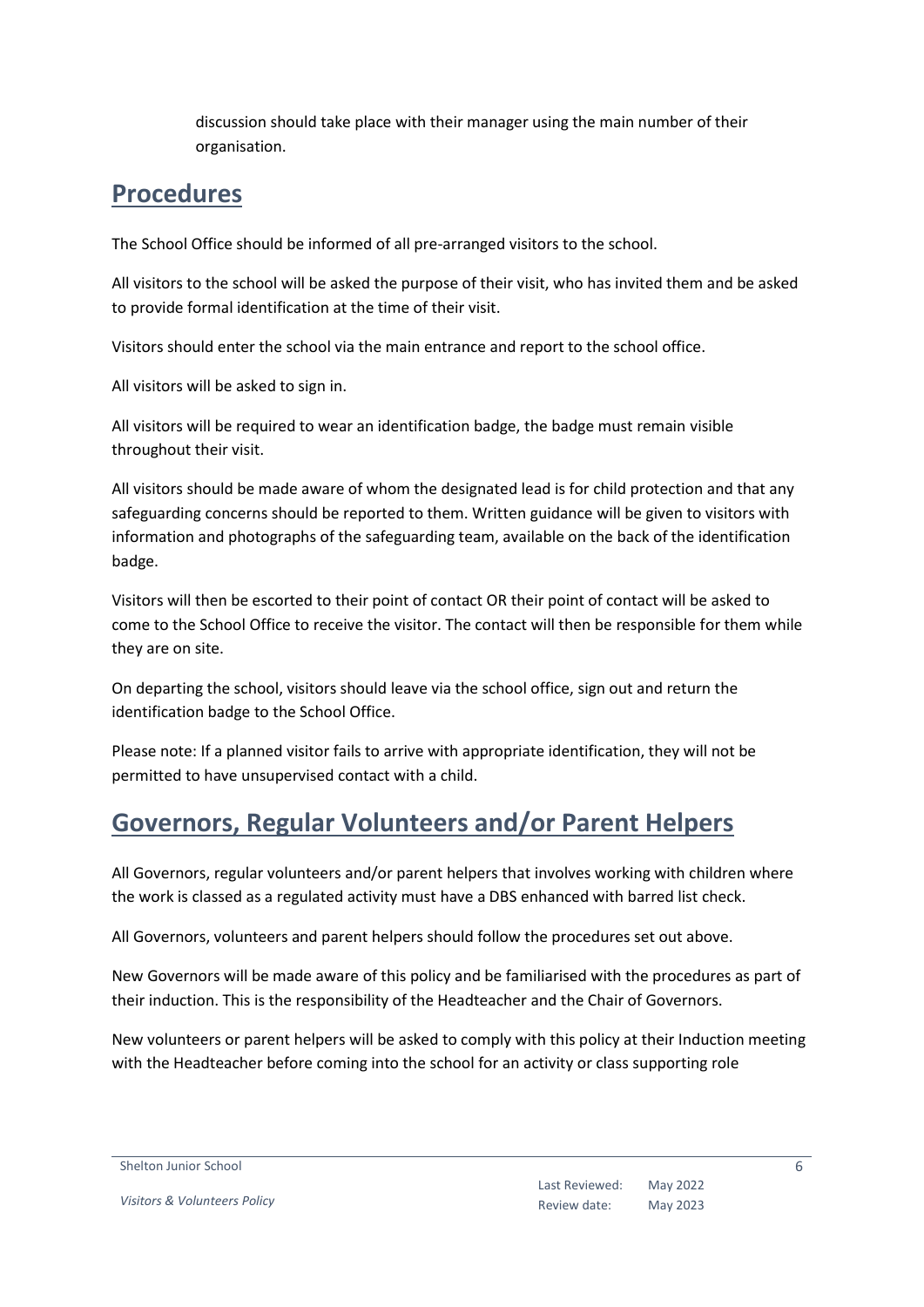discussion should take place with their manager using the main number of their organisation.

### <span id="page-5-0"></span>**Procedures**

The School Office should be informed of all pre-arranged visitors to the school.

All visitors to the school will be asked the purpose of their visit, who has invited them and be asked to provide formal identification at the time of their visit.

Visitors should enter the school via the main entrance and report to the school office.

All visitors will be asked to sign in.

All visitors will be required to wear an identification badge, the badge must remain visible throughout their visit.

All visitors should be made aware of whom the designated lead is for child protection and that any safeguarding concerns should be reported to them. Written guidance will be given to visitors with information and photographs of the safeguarding team, available on the back of the identification badge.

Visitors will then be escorted to their point of contact OR their point of contact will be asked to come to the School Office to receive the visitor. The contact will then be responsible for them while they are on site.

On departing the school, visitors should leave via the school office, sign out and return the identification badge to the School Office.

Please note: If a planned visitor fails to arrive with appropriate identification, they will not be permitted to have unsupervised contact with a child.

# <span id="page-5-1"></span>**Governors, Regular Volunteers and/or Parent Helpers**

All Governors, regular volunteers and/or parent helpers that involves working with children where the work is classed as a regulated activity must have a DBS enhanced with barred list check.

All Governors, volunteers and parent helpers should follow the procedures set out above.

New Governors will be made aware of this policy and be familiarised with the procedures as part of their induction. This is the responsibility of the Headteacher and the Chair of Governors.

New volunteers or parent helpers will be asked to comply with this policy at their Induction meeting with the Headteacher before coming into the school for an activity or class supporting role